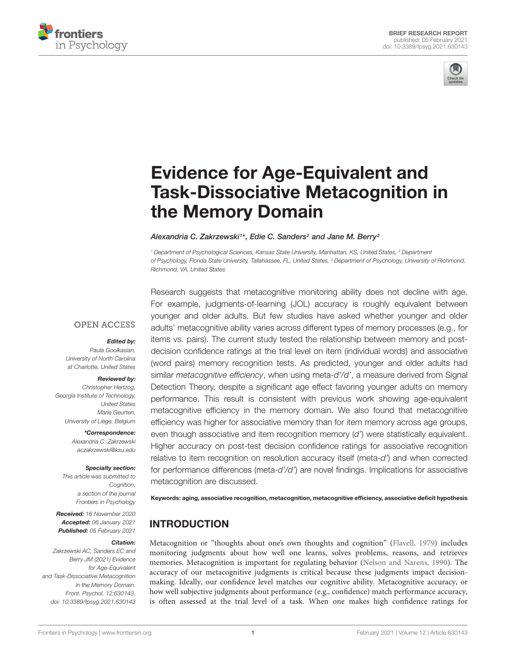



# Evidence for Age-Equivalent and [Task-Dissociative Metacognition in](https://www.frontiersin.org/articles/10.3389/fpsyg.2021.630143/full) the Memory Domain

#### Alexandria C. Zakrzewski1\*, Edie C. Sanders<sup>2</sup> and Jane M. Berry<sup>s</sup>

<sup>1</sup> Department of Psychological Sciences, Kansas State University, Manhattan, KS, United States, <sup>2</sup> Department of Psychology, Florida State University, Tallahassee, FL, United States, <sup>3</sup> Department of Psychology, University of Richmond, Richmond, VA, United States

### **OPEN ACCESS**

#### Edited by:

Paula Goolkasian, University of North Carolina at Charlotte, United States

#### Reviewed by:

Christopher Hertzog, Georgia Institute of Technology, United States Marie Geurten, University of Liège, Belgium

> \*Correspondence: Alexandria C. Zakrzewski [aczakrzewski@ksu.edu](mailto:aczakrzewski@ksu.edu)

#### Specialty section:

This article was submitted to Cognition, a section of the journal Frontiers in Psychology

Received: 16 November 2020 Accepted: 06 January 2021 Published: 05 February 2021

#### Citation:

Zakrzewski AC, Sanders EC and Berry JM (2021) Evidence for Age-Equivalent and Task-Dissociative Metacognition in the Memory Domain. Front. Psychol. 12:630143. doi: [10.3389/fpsyg.2021.630143](https://doi.org/10.3389/fpsyg.2021.630143) Research suggests that metacognitive monitoring ability does not decline with age. For example, judgments-of-learning (JOL) accuracy is roughly equivalent between younger and older adults. But few studies have asked whether younger and older adults' metacognitive ability varies across different types of memory processes (e.g., for items vs. pairs). The current study tested the relationship between memory and postdecision confidence ratings at the trial level on item (individual words) and associative (word pairs) memory recognition tests. As predicted, younger and older adults had similar metacognitive efficiency, when using meta-d'/d', a measure derived from Signal Detection Theory, despite a significant age effect favoring younger adults on memory performance. This result is consistent with previous work showing age-equivalent metacognitive efficiency in the memory domain. We also found that metacognitive efficiency was higher for associative memory than for item memory across age groups, even though associative and item recognition memory (d') were statistically equivalent. Higher accuracy on post-test decision confidence ratings for associative recognition relative to item recognition on resolution accuracy itself (meta-d') and when corrected for performance differences (meta-d'/d') are novel findings. Implications for associative metacognition are discussed.

Keywords: aging, associative recognition, metacognition, metacognitive efficiency, associative deficit hypothesis

# INTRODUCTION

Metacognition or "thoughts about one's own thoughts and cognition" [\(Flavell,](#page-7-0) [1979\)](#page-7-0) includes monitoring judgments about how well one learns, solves problems, reasons, and retrieves memories. Metacognition is important for regulating behavior [\(Nelson and Narens,](#page-7-1) [1990\)](#page-7-1). The accuracy of our metacognitive judgments is critical because these judgments impact decisionmaking. Ideally, our confidence level matches our cognitive ability. Metacognitive accuracy, or how well subjective judgments about performance (e.g., confidence) match performance accuracy, is often assessed at the trial level of a task. When one makes high confidence ratings for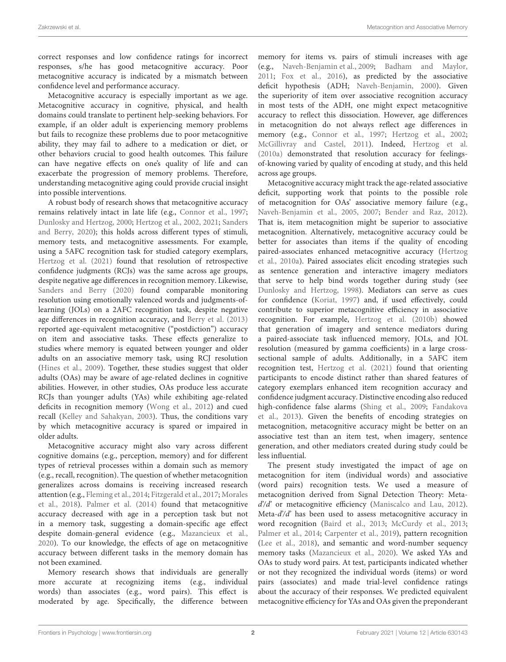correct responses and low confidence ratings for incorrect responses, s/he has good metacognitive accuracy. Poor metacognitive accuracy is indicated by a mismatch between confidence level and performance accuracy.

Metacognitive accuracy is especially important as we age. Metacognitive accuracy in cognitive, physical, and health domains could translate to pertinent help-seeking behaviors. For example, if an older adult is experiencing memory problems but fails to recognize these problems due to poor metacognitive ability, they may fail to adhere to a medication or diet, or other behaviors crucial to good health outcomes. This failure can have negative effects on one's quality of life and can exacerbate the progression of memory problems. Therefore, understanding metacognitive aging could provide crucial insight into possible interventions.

A robust body of research shows that metacognitive accuracy remains relatively intact in late life (e.g., [Connor et al.,](#page-6-0) [1997;](#page-6-0) [Dunlosky and Hertzog,](#page-6-1) [2000;](#page-6-1) [Hertzog et al.,](#page-7-2) [2002,](#page-7-2) [2021;](#page-7-3) [Sanders](#page-7-4) [and Berry,](#page-7-4) [2020\)](#page-7-4); this holds across different types of stimuli, memory tests, and metacognitive assessments. For example, using a 5AFC recognition task for studied category exemplars, [Hertzog et al.](#page-7-3) [\(2021\)](#page-7-3) found that resolution of retrospective confidence judgments (RCJs) was the same across age groups, despite negative age differences in recognition memory. Likewise, [Sanders and Berry](#page-7-4) [\(2020\)](#page-7-4) found comparable monitoring resolution using emotionally valenced words and judgments-oflearning (JOLs) on a 2AFC recognition task, despite negative age differences in recognition accuracy, and [Berry et al.](#page-6-2) [\(2013\)](#page-6-2) reported age-equivalent metacognitive ("postdiction") accuracy on item and associative tasks. These effects generalize to studies where memory is equated between younger and older adults on an associative memory task, using RCJ resolution [\(Hines et al.,](#page-7-5) [2009\)](#page-7-5). Together, these studies suggest that older adults (OAs) may be aware of age-related declines in cognitive abilities. However, in other studies, OAs produce less accurate RCJs than younger adults (YAs) while exhibiting age-related deficits in recognition memory [\(Wong et al.,](#page-8-0) [2012\)](#page-8-0) and cued recall [\(Kelley and Sahakyan,](#page-7-6) [2003\)](#page-7-6). Thus, the conditions vary by which metacognitive accuracy is spared or impaired in older adults.

Metacognitive accuracy might also vary across different cognitive domains (e.g., perception, memory) and for different types of retrieval processes within a domain such as memory (e.g., recall, recognition). The question of whether metacognition generalizes across domains is receiving increased research attention (e.g., [Fleming et al.,](#page-7-7) [2014;](#page-7-7) [Fitzgerald et al.,](#page-6-3) [2017;](#page-6-3) [Morales](#page-7-8) [et al.,](#page-7-8) [2018\)](#page-7-8). [Palmer et al.](#page-7-9) [\(2014\)](#page-7-9) found that metacognitive accuracy decreased with age in a perception task but not in a memory task, suggesting a domain-specific age effect despite domain-general evidence (e.g., [Mazancieux et al.,](#page-7-10) [2020\)](#page-7-10). To our knowledge, the effects of age on metacognitive accuracy between different tasks in the memory domain has not been examined.

Memory research shows that individuals are generally more accurate at recognizing items (e.g., individual words) than associates (e.g., word pairs). This effect is moderated by age. Specifically, the difference between memory for items vs. pairs of stimuli increases with age (e.g., [Naveh-Benjamin et al.,](#page-7-11) [2009;](#page-7-11) [Badham and Maylor,](#page-6-4) [2011;](#page-6-4) [Fox et al.,](#page-7-12) [2016\)](#page-7-12), as predicted by the associative deficit hypothesis (ADH; [Naveh-Benjamin,](#page-7-13) [2000\)](#page-7-13). Given the superiority of item over associative recognition accuracy in most tests of the ADH, one might expect metacognitive accuracy to reflect this dissociation. However, age differences in metacognition do not always reflect age differences in memory (e.g., [Connor et al.,](#page-6-0) [1997;](#page-6-0) [Hertzog et al.,](#page-7-2) [2002;](#page-7-2) [McGillivray and Castel,](#page-7-14) [2011\)](#page-7-14). Indeed, [Hertzog et al.](#page-7-15) [\(2010a\)](#page-7-15) demonstrated that resolution accuracy for feelingsof-knowing varied by quality of encoding at study, and this held across age groups.

Metacognitive accuracy might track the age-related associative deficit, supporting work that points to the possible role of metacognition for OAs' associative memory failure (e.g., [Naveh-Benjamin et al.,](#page-7-16) [2005,](#page-7-16) [2007;](#page-7-17) [Bender and Raz,](#page-6-5) [2012\)](#page-6-5). That is, item metacognition might be superior to associative metacognition. Alternatively, metacognitive accuracy could be better for associates than items if the quality of encoding paired-associates enhanced metacognitive accuracy [\(Hertzog](#page-7-15) [et al.,](#page-7-15) [2010a\)](#page-7-15). Paired associates elicit encoding strategies such as sentence generation and interactive imagery mediators that serve to help bind words together during study (see [Dunlosky and Hertzog,](#page-6-6) [1998\)](#page-6-6). Mediators can serve as cues for confidence [\(Koriat,](#page-7-18) [1997\)](#page-7-18) and, if used effectively, could contribute to superior metacognitive efficiency in associative recognition. For example, [Hertzog et al.](#page-7-19) [\(2010b\)](#page-7-19) showed that generation of imagery and sentence mediators during a paired-associate task influenced memory, JOLs, and JOL resolution (measured by gamma coefficients) in a large crosssectional sample of adults. Additionally, in a 5AFC item recognition test, [Hertzog et al.](#page-7-3) [\(2021\)](#page-7-3) found that orienting participants to encode distinct rather than shared features of category exemplars enhanced item recognition accuracy and confidence judgment accuracy. Distinctive encoding also reduced high-confidence false alarms [\(Shing et al.,](#page-7-20) [2009;](#page-7-20) [Fandakova](#page-6-7) [et al.,](#page-6-7) [2013\)](#page-6-7). Given the benefits of encoding strategies on metacognition, metacognitive accuracy might be better on an associative test than an item test, when imagery, sentence generation, and other mediators created during study could be less influential.

The present study investigated the impact of age on metacognition for item (individual words) and associative (word pairs) recognition tests. We used a measure of metacognition derived from Signal Detection Theory: Meta $d'd'$  or metacognitive efficiency [\(Maniscalco and Lau,](#page-7-21) [2012\)](#page-7-21). Meta- $d/d$ <sup>2</sup> has been used to assess metacognitive accuracy in word recognition [\(Baird et al.,](#page-6-8) [2013;](#page-6-8) [McCurdy et al.,](#page-7-22) [2013;](#page-7-22) [Palmer et al.,](#page-7-9) [2014;](#page-7-9) [Carpenter et al.,](#page-6-9) [2019\)](#page-6-9), pattern recognition [\(Lee et al.,](#page-7-23) [2018\)](#page-7-23), and semantic and word-number sequency memory tasks [\(Mazancieux et al.,](#page-7-10) [2020\)](#page-7-10). We asked YAs and OAs to study word pairs. At test, participants indicated whether or not they recognized the individual words (items) or word pairs (associates) and made trial-level confidence ratings about the accuracy of their responses. We predicted equivalent metacognitive efficiency for YAs and OAs given the preponderant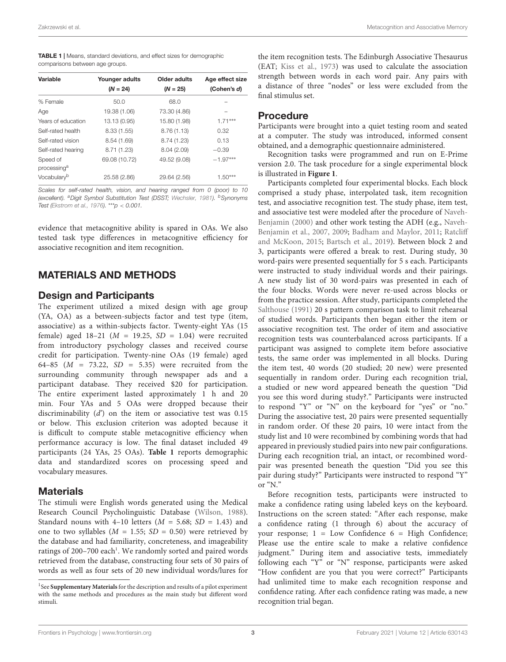<span id="page-2-0"></span>TABLE 1 | Means, standard deviations, and effect sizes for demographic comparisons between age groups.

| Variable                            | Younger adults<br>$(N = 24)$ | Older adults<br>$(N = 25)$ | Age effect size<br>(Cohen's d) |
|-------------------------------------|------------------------------|----------------------------|--------------------------------|
| % Female                            | 50.0                         | 68.0                       |                                |
| Age                                 | 19.38 (1.06)                 | 73.30 (4.86)               |                                |
| Years of education                  | 13.13 (0.95)                 | 15.80 (1.98)               | $1.71***$                      |
| Self-rated health                   | 8.33(1.55)                   | 8.76(1.13)                 | 0.32                           |
| Self-rated vision                   | 8.54 (1.69)                  | 8.74(1.23)                 | 0.13                           |
| Self-rated hearing                  | 8.71 (1.23)                  | 8.04(2.09)                 | $-0.39$                        |
| Speed of<br>processing <sup>a</sup> | 69.08 (10.72)                | 49.52 (9.08)               | $-1.97***$                     |
| Vocabulary <sup>b</sup>             | 25.58 (2.86)                 | 29.64 (2.56)               | $1.50***$                      |

Scales for self-rated health, vision, and hearing ranged from 0 (poor) to 10 (excellent). <sup>a</sup>Digit Symbol Substitution Test (DSST; [Wechsler,](#page-8-1) [1981\)](#page-8-1). <sup>b</sup>Synonyms Test [\(Ekstrom et al.,](#page-6-10) [1976\)](#page-6-10). \*\*\*p < 0.001.

evidence that metacognitive ability is spared in OAs. We also tested task type differences in metacognitive efficiency for associative recognition and item recognition.

# MATERIALS AND METHODS

#### Design and Participants

The experiment utilized a mixed design with age group (YA, OA) as a between-subjects factor and test type (item, associative) as a within-subjects factor. Twenty-eight YAs (15 female) aged  $18-21$  ( $M = 19.25$ ,  $SD = 1.04$ ) were recruited from introductory psychology classes and received course credit for participation. Twenty-nine OAs (19 female) aged 64–85 ( $M = 73.22$ ,  $SD = 5.35$ ) were recruited from the surrounding community through newspaper ads and a participant database. They received \$20 for participation. The entire experiment lasted approximately 1 h and 20 min. Four YAs and 5 OAs were dropped because their discriminability  $(d')$  on the item or associative test was 0.15 or below. This exclusion criterion was adopted because it is difficult to compute stable metacognitive efficiency when performance accuracy is low. The final dataset included 49 participants (24 YAs, 25 OAs). **[Table 1](#page-2-0)** reports demographic data and standardized scores on processing speed and vocabulary measures.

### **Materials**

The stimuli were English words generated using the Medical Research Council Psycholinguistic Database [\(Wilson,](#page-8-2) [1988\)](#page-8-2). Standard nouns with 4–10 letters ( $M = 5.68$ ;  $SD = 1.43$ ) and one to two syllables ( $M = 1.55$ ;  $SD = 0.50$ ) were retrieved by the database and had familiarity, concreteness, and imageability ratings of 200-700 each<sup>[1](#page-2-1)</sup>. We randomly sorted and paired words retrieved from the database, constructing four sets of 30 pairs of words as well as four sets of 20 new individual words/lures for

the item recognition tests. The Edinburgh Associative Thesaurus (EAT; [Kiss et al.,](#page-7-24) [1973\)](#page-7-24) was used to calculate the association strength between words in each word pair. Any pairs with a distance of three "nodes" or less were excluded from the final stimulus set.

#### Procedure

Participants were brought into a quiet testing room and seated at a computer. The study was introduced, informed consent obtained, and a demographic questionnaire administered.

Recognition tasks were programmed and run on E-Prime version 2.0. The task procedure for a single experimental block is illustrated in **[Figure 1](#page-3-0)**.

Participants completed four experimental blocks. Each block comprised a study phase, interpolated task, item recognition test, and associative recognition test. The study phase, item test, and associative test were modeled after the procedure of [Naveh-](#page-7-13)[Benjamin](#page-7-13) [\(2000\)](#page-7-13) and other work testing the ADH (e.g., [Naveh-](#page-7-17)[Benjamin et al.,](#page-7-17) [2007,](#page-7-17) [2009;](#page-7-11) [Badham and Maylor,](#page-6-4) [2011;](#page-6-4) [Ratcliff](#page-7-25) [and McKoon,](#page-7-25) [2015;](#page-7-25) [Bartsch et al.,](#page-6-12) [2019\)](#page-6-12). Between block 2 and 3, participants were offered a break to rest. During study, 30 word-pairs were presented sequentially for 5 s each. Participants were instructed to study individual words and their pairings. A new study list of 30 word-pairs was presented in each of the four blocks. Words were never re-used across blocks or from the practice session. After study, participants completed the [Salthouse](#page-7-26) [\(1991\)](#page-7-26) 20 s pattern comparison task to limit rehearsal of studied words. Participants then began either the item or associative recognition test. The order of item and associative recognition tests was counterbalanced across participants. If a participant was assigned to complete item before associative tests, the same order was implemented in all blocks. During the item test, 40 words (20 studied; 20 new) were presented sequentially in random order. During each recognition trial, a studied or new word appeared beneath the question "Did you see this word during study?." Participants were instructed to respond "Y" or "N" on the keyboard for "yes" or "no." During the associative test, 20 pairs were presented sequentially in random order. Of these 20 pairs, 10 were intact from the study list and 10 were recombined by combining words that had appeared in previously studied pairs into new pair configurations. During each recognition trial, an intact, or recombined wordpair was presented beneath the question "Did you see this pair during study?" Participants were instructed to respond "Y" or "N."

Before recognition tests, participants were instructed to make a confidence rating using labeled keys on the keyboard. Instructions on the screen stated: "After each response, make a confidence rating (1 through 6) about the accuracy of your response; 1 = Low Confidence 6 = High Confidence; Please use the entire scale to make a relative confidence judgment." During item and associative tests, immediately following each "Y" or "N" response, participants were asked "How confident are you that you were correct?" Participants had unlimited time to make each recognition response and confidence rating. After each confidence rating was made, a new recognition trial began.

<span id="page-2-1"></span><sup>&</sup>lt;sup>1</sup> See [Supplementary Materials](#page-6-11) for the description and results of a pilot experiment with the same methods and procedures as the main study but different word stimuli.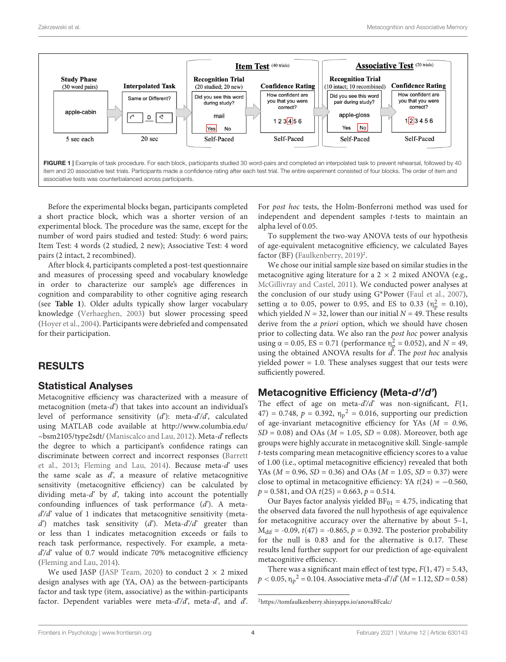

<span id="page-3-0"></span>Before the experimental blocks began, participants completed a short practice block, which was a shorter version of an experimental block. The procedure was the same, except for the number of word pairs studied and tested: Study: 6 word pairs; Item Test: 4 words (2 studied, 2 new); Associative Test: 4 word pairs (2 intact, 2 recombined).

After block 4, participants completed a post-test questionnaire and measures of processing speed and vocabulary knowledge in order to characterize our sample's age differences in cognition and comparability to other cognitive aging research (see **[Table 1](#page-2-0)**). Older adults typically show larger vocabulary knowledge [\(Verhaeghen,](#page-8-3) [2003\)](#page-8-3) but slower processing speed [\(Hoyer et al.,](#page-7-27) [2004\)](#page-7-27). Participants were debriefed and compensated for their participation.

# RESULTS

### Statistical Analyses

Metacognitive efficiency was characterized with a measure of metacognition (meta-d') that takes into account an individual's level of performance sensitivity  $(d')$ : meta- $d'/d'$ , calculated using MATLAB code available at [http://www.columbia.edu/](http://www.columbia.edu/~bsm2105/type2sdt/) [~bsm2105/type2sdt/](http://www.columbia.edu/~bsm2105/type2sdt/) [\(Maniscalco and Lau,](#page-7-21) [2012\)](#page-7-21). Meta-d' reflects the degree to which a participant's confidence ratings can discriminate between correct and incorrect responses [\(Barrett](#page-6-13) [et al.,](#page-6-13) [2013;](#page-6-13) [Fleming and Lau,](#page-7-28) [2014\)](#page-7-28). Because meta- $d'$  uses the same scale as  $d'$ , a measure of relative metacognitive sensitivity (metacognitive efficiency) can be calculated by dividing meta-d' by  $d'$ , taking into account the potentially confounding influences of task performance (d'). A meta $d'd'$  value of 1 indicates that metacognitive sensitivity (metad') matches task sensitivity (d'). Meta-d'/d' greater than or less than 1 indicates metacognition exceeds or fails to reach task performance, respectively. For example, a meta $d'd'$  value of 0.7 would indicate 70% metacognitive efficiency [\(Fleming and Lau,](#page-7-28) [2014\)](#page-7-28).

We used JASP [\(JASP Team,](#page-7-29) [2020\)](#page-7-29) to conduct  $2 \times 2$  mixed design analyses with age (YA, OA) as the between-participants factor and task type (item, associative) as the within-participants factor. Dependent variables were meta- $d'd'$ , meta- $d'$ , and  $d'$ .

For post hoc tests, the Holm-Bonferroni method was used for independent and dependent samples t-tests to maintain an alpha level of 0.05.

To supplement the two-way ANOVA tests of our hypothesis of age-equivalent metacognitive efficiency, we calculated Bayes factor (BF) [\(Faulkenberry,](#page-6-14) [2019\)](#page-6-14) [2](#page-3-1) .

We chose our initial sample size based on similar studies in the metacognitive aging literature for a  $2 \times 2$  mixed ANOVA (e.g., [McGillivray and Castel,](#page-7-14) [2011\)](#page-7-14). We conducted power analyses at the conclusion of our study using G∗Power [\(Faul et al.,](#page-6-15) [2007\)](#page-6-15), setting α to 0.05, power to 0.95, and ES to 0.33 ( $η<sub>p</sub><sup>2</sup> = 0.10$ ), which yielded  $N = 32$ , lower than our initial  $N = 49$ . These results derive from the *a priori* option, which we should have chosen prior to collecting data. We also ran the post hoc power analysis using α = 0.05, ES = 0.71 (performance  $η_p^2 = 0.052$ ), and  $N = 49$ , using the obtained ANOVA results for  $d$ . The post hoc analysis yielded power = 1.0. These analyses suggest that our tests were sufficiently powered.

# Metacognitive Efficiency (Meta-d'/d')

The effect of age on meta- $d'd'$  was non-significant,  $F(1, 1)$ 47) = 0.748,  $p = 0.392$ ,  $\eta_p^2 = 0.016$ , supporting our prediction of age-invariant metacognitive efficiency for YAs ( $M = 0.96$ ,  $SD = 0.08$ ) and OAs ( $M = 1.05$ ,  $SD = 0.08$ ). Moreover, both age groups were highly accurate in metacognitive skill. Single-sample t-tests comparing mean metacognitive efficiency scores to a value of 1.00 (i.e., optimal metacognitive efficiency) revealed that both YAs ( $M = 0.96$ ,  $SD = 0.36$ ) and OAs ( $M = 1.05$ ,  $SD = 0.37$ ) were close to optimal in metacognitive efficiency: YA  $t(24) = -0.560$ ,  $p = 0.581$ , and OA  $t(25) = 0.663$ ,  $p = 0.514$ .

Our Bayes factor analysis yielded  $BF_{01} = 4.75$ , indicating that the observed data favored the null hypothesis of age equivalence for metacognitive accuracy over the alternative by about 5–1,  $M_{\text{dif}}$  = -0.09,  $t(47)$  = -0.865,  $p = 0.392$ . The posterior probability for the null is 0.83 and for the alternative is 0.17. These results lend further support for our prediction of age-equivalent metacognitive efficiency.

There was a significant main effect of test type,  $F(1, 47) = 5.43$ ,  $p < 0.05, \eta_p^2 = 0.104$ . Associative meta- $d'/d'$  ( $M = 1.12, SD = 0.58$ )

<span id="page-3-1"></span><sup>2</sup>[https://tomfaulkenberry.shinyapps.io/anovaBFcalc/](https://https://tomfaulkenberry.shinyapps.io/anovaBFcalc/)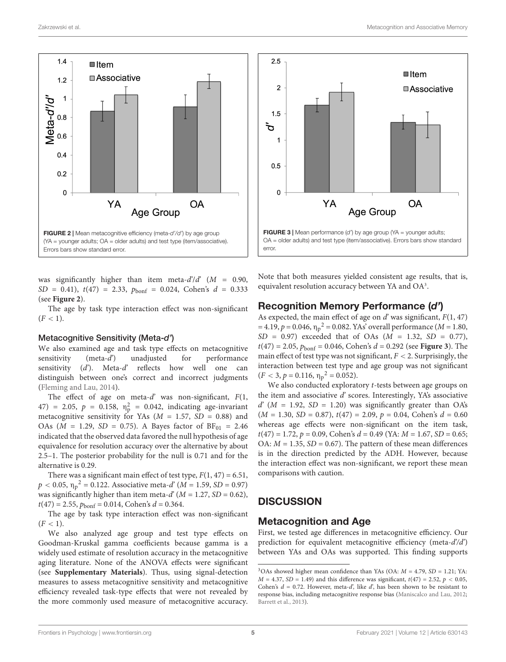

<span id="page-4-0"></span>was significantly higher than item meta- $d'/d'$  ( $M = 0.90$ ,  $SD = 0.41$ ,  $t(47) = 2.33$ ,  $p_{\text{bonf}} = 0.024$ , Cohen's  $d = 0.333$ (see **[Figure 2](#page-4-0)**).

The age by task type interaction effect was non-significant  $(F < 1)$ .

#### Metacognitive Sensitivity (Meta-d')

We also examined age and task type effects on metacognitive sensitivity (meta-d') unadjusted for performance sensitivity  $(d')$ . Meta-d' reflects how well one can distinguish between one's correct and incorrect judgments [\(Fleming and Lau,](#page-7-28) [2014\)](#page-7-28).

The effect of age on meta-d' was non-significant,  $F(1, 1)$ 47) = 2.05,  $p = 0.158$ ,  $\eta_p^2 = 0.042$ , indicating age-invariant metacognitive sensitivity for YAs ( $M = 1.57$ ,  $SD = 0.88$ ) and OAs ( $M = 1.29$ ,  $SD = 0.75$ ). A Bayes factor of  $BF_{01} = 2.46$ indicated that the observed data favored the null hypothesis of age equivalence for resolution accuracy over the alternative by about 2.5–1. The posterior probability for the null is 0.71 and for the alternative is 0.29.

There was a significant main effect of test type,  $F(1, 47) = 6.51$ ,  $p < 0.05$ ,  $\eta_p^2 = 0.122$ . Associative meta- $d'(M = 1.59, SD = 0.97)$ was significantly higher than item meta-d'  $(M = 1.27, SD = 0.62)$ ,  $t(47) = 2.55$ ,  $p_{\text{bonf}} = 0.014$ , Cohen's  $d = 0.364$ .

The age by task type interaction effect was non-significant  $(F < 1)$ .

We also analyzed age group and test type effects on Goodman-Kruskal gamma coefficients because gamma is a widely used estimate of resolution accuracy in the metacognitive aging literature. None of the ANOVA effects were significant (see **[Supplementary Materials](#page-6-11)**). Thus, using signal-detection measures to assess metacognitive sensitivity and metacognitive efficiency revealed task-type effects that were not revealed by the more commonly used measure of metacognitive accuracy.



<span id="page-4-2"></span>Note that both measures yielded consistent age results, that is, equivalent resolution accuracy between YA and OA<sup>[3](#page-4-1)</sup>.

#### Recognition Memory Performance (d')

As expected, the main effect of age on  $d'$  was significant,  $F(1, 47)$ = 4.19,  $p = 0.046$ ,  $\eta_p^2 = 0.082$ . YAs' overall performance (*M* = 1.80,  $SD = 0.97$ ) exceeded that of OAs ( $M = 1.32$ ,  $SD = 0.77$ ),  $t(47) = 2.05$ ,  $p_{\text{bonf}} = 0.046$ , Cohen's  $d = 0.292$  (see **[Figure 3](#page-4-2)**). The main effect of test type was not significant,  $F < 2$ . Surprisingly, the interaction between test type and age group was not significant  $(F < 3, p = 0.116, \eta_p^2 = 0.052).$ 

We also conducted exploratory t-tests between age groups on the item and associative  $d'$  scores. Interestingly, YA's associative  $d^{2}(M = 1.92, SD = 1.20)$  was significantly greater than OA's  $(M = 1.30, SD = 0.87), t(47) = 2.09, p = 0.04, Cohen's d = 0.60$ whereas age effects were non-significant on the item task,  $t(47) = 1.72$ ,  $p = 0.09$ , Cohen's  $d = 0.49$  (YA:  $M = 1.67$ , SD = 0.65; OA:  $M = 1.35$ ,  $SD = 0.67$ ). The pattern of these mean differences is in the direction predicted by the ADH. However, because the interaction effect was non-significant, we report these mean comparisons with caution.

# **DISCUSSION**

#### Metacognition and Age

First, we tested age differences in metacognitive efficiency. Our prediction for equivalent metacognitive efficiency (meta- $d'd'$ ) between YAs and OAs was supported. This finding supports

<span id="page-4-1"></span><sup>&</sup>lt;sup>3</sup>OAs showed higher mean confidence than YAs (OA:  $M = 4.79$ , SD = 1.21; YA:  $M = 4.37$ ,  $SD = 1.49$ ) and this difference was significant,  $t(47) = 2.52$ ,  $p < 0.05$ , Cohen's  $d = 0.72$ . However, meta-d', like d', has been shown to be resistant to response bias, including metacognitive response bias [\(Maniscalco and Lau,](#page-7-21) [2012;](#page-7-21) [Barrett et al.,](#page-6-13) [2013\)](#page-6-13).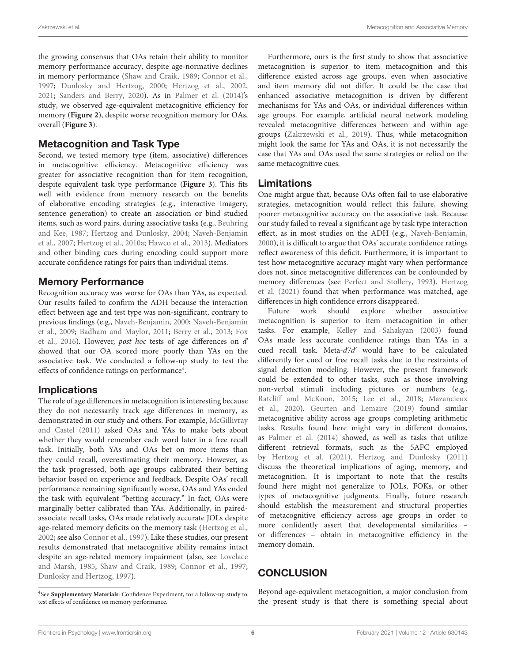the growing consensus that OAs retain their ability to monitor memory performance accuracy, despite age-normative declines in memory performance [\(Shaw and Craik,](#page-7-30) [1989;](#page-7-30) [Connor et al.,](#page-6-0) [1997;](#page-6-0) [Dunlosky and Hertzog,](#page-6-1) [2000;](#page-6-1) [Hertzog et al.,](#page-7-2) [2002,](#page-7-2) [2021;](#page-7-3) [Sanders and Berry,](#page-7-4) [2020\)](#page-7-4). As in [Palmer et al.](#page-7-9) [\(2014\)](#page-7-9)'s study, we observed age-equivalent metacognitive efficiency for memory (**[Figure 2](#page-4-0)**), despite worse recognition memory for OAs, overall (**[Figure 3](#page-4-2)**).

### Metacognition and Task Type

Second, we tested memory type (item, associative) differences in metacognitive efficiency. Metacognitive efficiency was greater for associative recognition than for item recognition, despite equivalent task type performance (**[Figure 3](#page-4-2)**). This fits well with evidence from memory research on the benefits of elaborative encoding strategies (e.g., interactive imagery, sentence generation) to create an association or bind studied items, such as word pairs, during associative tasks (e.g., [Beuhring](#page-6-16) [and Kee,](#page-6-16) [1987;](#page-6-16) [Hertzog and Dunlosky,](#page-7-31) [2004;](#page-7-31) [Naveh-Benjamin](#page-7-17) [et al.,](#page-7-17) [2007;](#page-7-17) [Hertzog et al.,](#page-7-15) [2010a;](#page-7-15) [Hawco et al.,](#page-7-32) [2013\)](#page-7-32). Mediators and other binding cues during encoding could support more accurate confidence ratings for pairs than individual items.

### Memory Performance

Recognition accuracy was worse for OAs than YAs, as expected. Our results failed to confirm the ADH because the interaction effect between age and test type was non-significant, contrary to previous findings (e.g., [Naveh-Benjamin,](#page-7-13) [2000;](#page-7-13) [Naveh-Benjamin](#page-7-11) [et al.,](#page-7-11) [2009;](#page-7-11) [Badham and Maylor,](#page-6-4) [2011;](#page-6-4) [Berry et al.,](#page-6-2) [2013;](#page-6-2) [Fox](#page-7-12) [et al.,](#page-7-12) [2016\)](#page-7-12). However, post hoc tests of age differences on d' showed that our OA scored more poorly than YAs on the associative task. We conducted a follow-up study to test the effects of confidence ratings on performance<sup>[4](#page-5-0)</sup>.

### Implications

The role of age differences in metacognition is interesting because they do not necessarily track age differences in memory, as demonstrated in our study and others. For example, [McGillivray](#page-7-14) [and Castel](#page-7-14) [\(2011\)](#page-7-14) asked OAs and YAs to make bets about whether they would remember each word later in a free recall task. Initially, both YAs and OAs bet on more items than they could recall, overestimating their memory. However, as the task progressed, both age groups calibrated their betting behavior based on experience and feedback. Despite OAs' recall performance remaining significantly worse, OAs and YAs ended the task with equivalent "betting accuracy." In fact, OAs were marginally better calibrated than YAs. Additionally, in pairedassociate recall tasks, OAs made relatively accurate JOLs despite age-related memory deficits on the memory task [\(Hertzog et al.,](#page-7-2) [2002;](#page-7-2) see also [Connor et al.,](#page-6-0) [1997\)](#page-6-0). Like these studies, our present results demonstrated that metacognitive ability remains intact despite an age-related memory impairment (also, see [Lovelace](#page-7-33) [and Marsh,](#page-7-33) [1985;](#page-7-33) [Shaw and Craik,](#page-7-30) [1989;](#page-7-30) [Connor et al.,](#page-6-0) [1997;](#page-6-0) [Dunlosky and Hertzog,](#page-6-17) [1997\)](#page-6-17).

Furthermore, ours is the first study to show that associative metacognition is superior to item metacognition and this difference existed across age groups, even when associative and item memory did not differ. It could be the case that enhanced associative metacognition is driven by different mechanisms for YAs and OAs, or individual differences within age groups. For example, artificial neural network modeling revealed metacognitive differences between and within age groups [\(Zakrzewski et al.,](#page-8-4) [2019\)](#page-8-4). Thus, while metacognition might look the same for YAs and OAs, it is not necessarily the case that YAs and OAs used the same strategies or relied on the same metacognitive cues.

#### Limitations

One might argue that, because OAs often fail to use elaborative strategies, metacognition would reflect this failure, showing poorer metacognitive accuracy on the associative task. Because our study failed to reveal a significant age by task type interaction effect, as in most studies on the ADH (e.g., [Naveh-Benjamin,](#page-7-13) [2000\)](#page-7-13), it is difficult to argue that OAs' accurate confidence ratings reflect awareness of this deficit. Furthermore, it is important to test how metacognitive accuracy might vary when performance does not, since metacognitive differences can be confounded by memory differences (see [Perfect and Stollery,](#page-7-34) [1993\)](#page-7-34). [Hertzog](#page-7-3) [et al.](#page-7-3) [\(2021\)](#page-7-3) found that when performance was matched, age differences in high confidence errors disappeared.

Future work should explore whether associative metacognition is superior to item metacognition in other tasks. For example, [Kelley and Sahakyan](#page-7-6) [\(2003\)](#page-7-6) found OAs made less accurate confidence ratings than YAs in a cued recall task. Meta-d'/d' would have to be calculated differently for cued or free recall tasks due to the restraints of signal detection modeling. However, the present framework could be extended to other tasks, such as those involving non-verbal stimuli including pictures or numbers (e.g., [Ratcliff and McKoon,](#page-7-25) [2015;](#page-7-25) [Lee et al.,](#page-7-23) [2018;](#page-7-23) [Mazancieux](#page-7-10) [et al.,](#page-7-10) [2020\)](#page-7-10). [Geurten and Lemaire](#page-7-35) [\(2019\)](#page-7-35) found similar metacognitive ability across age groups completing arithmetic tasks. Results found here might vary in different domains, as [Palmer et al.](#page-7-9) [\(2014\)](#page-7-9) showed, as well as tasks that utilize different retrieval formats, such as the 5AFC employed by [Hertzog et al.](#page-7-3) [\(2021\)](#page-7-3). [Hertzog and Dunlosky](#page-7-36) [\(2011\)](#page-7-36) discuss the theoretical implications of aging, memory, and metacognition. It is important to note that the results found here might not generalize to JOLs, FOKs, or other types of metacognitive judgments. Finally, future research should establish the measurement and structural properties of metacognitive efficiency across age groups in order to more confidently assert that developmental similarities – or differences – obtain in metacognitive efficiency in the memory domain.

### **CONCLUSION**

Beyond age-equivalent metacognition, a major conclusion from the present study is that there is something special about

<span id="page-5-0"></span><sup>4</sup> See **[Supplementary Materials](#page-6-11)**: Confidence Experiment, for a follow-up study to test effects of confidence on memory performance.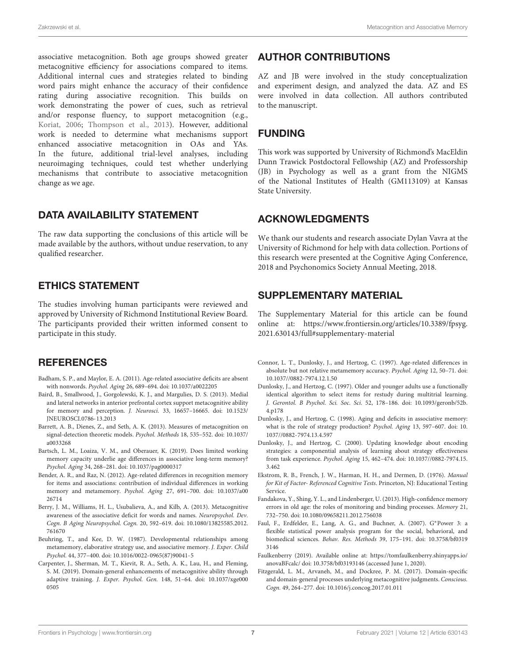associative metacognition. Both age groups showed greater metacognitive efficiency for associations compared to items. Additional internal cues and strategies related to binding word pairs might enhance the accuracy of their confidence rating during associative recognition. This builds on work demonstrating the power of cues, such as retrieval and/or response fluency, to support metacognition (e.g., [Koriat,](#page-7-37) [2006;](#page-7-37) [Thompson et al.,](#page-7-38) [2013\)](#page-7-38). However, additional work is needed to determine what mechanisms support enhanced associative metacognition in OAs and YAs. In the future, additional trial-level analyses, including neuroimaging techniques, could test whether underlying mechanisms that contribute to associative metacognition change as we age.

## DATA AVAILABILITY STATEMENT

The raw data supporting the conclusions of this article will be made available by the authors, without undue reservation, to any qualified researcher.

# ETHICS STATEMENT

The studies involving human participants were reviewed and approved by University of Richmond Institutional Review Board. The participants provided their written informed consent to participate in this study.

# **REFERENCES**

- <span id="page-6-4"></span>Badham, S. P., and Maylor, E. A. (2011). Age-related associative deficits are absent with nonwords. Psychol. Aging 26, 689–694. [doi: 10.1037/a0022205](https://doi.org/10.1037/a0022205)
- <span id="page-6-8"></span>Baird, B., Smallwood, J., Gorgolewski, K. J., and Margulies, D. S. (2013). Medial and lateral networks in anterior prefrontal cortex support metacognitive ability for memory and perception. J. Neurosci. 33, 16657–16665. [doi: 10.1523/](https://doi.org/10.1523/JNEUROSCI.0786-13.2013) [JNEUROSCI.0786-13.2013](https://doi.org/10.1523/JNEUROSCI.0786-13.2013)
- <span id="page-6-13"></span>Barrett, A. B., Dienes, Z., and Seth, A. K. (2013). Measures of metacognition on signal-detection theoretic models. Psychol. Methods 18, 535–552. [doi: 10.1037/](https://doi.org/10.1037/a0033268) [a0033268](https://doi.org/10.1037/a0033268)
- <span id="page-6-12"></span>Bartsch, L. M., Loaiza, V. M., and Oberauer, K. (2019). Does limited working memory capacity underlie age differences in associative long-term memory? Psychol. Aging 34, 268–281. [doi: 10.1037/pag0000317](https://doi.org/10.1037/pag0000317)
- <span id="page-6-5"></span>Bender, A. R., and Raz, N. (2012). Age-related differences in recognition memory for items and associations: contribution of individual differences in working memory and metamemory. Psychol. Aging 27, 691–700. [doi: 10.1037/a00](https://doi.org/10.1037/a0026714) [26714](https://doi.org/10.1037/a0026714)
- <span id="page-6-2"></span>Berry, J. M., Williams, H. L., Usubalieva, A., and Kilb, A. (2013). Metacognitive awareness of the associative deficit for words and names. Neuropsychol. Dev. Cogn. B Aging Neuropsychol. Cogn. 20, 592–619. [doi: 10.1080/13825585.2012.](https://doi.org/10.1080/13825585.2012.761670) [761670](https://doi.org/10.1080/13825585.2012.761670)
- <span id="page-6-16"></span>Beuhring, T., and Kee, D. W. (1987). Developmental relationships among metamemory, elaborative strategy use, and associative memory. J. Exper. Child Psychol. 44, 377–400. [doi: 10.1016/0022-0965\(87\)90041-5](https://doi.org/10.1016/0022-0965(87)90041-5)
- <span id="page-6-9"></span>Carpenter, J., Sherman, M. T., Kievit, R. A., Seth, A. K., Lau, H., and Fleming, S. M. (2019). Domain-general enhancements of metacognitive ability through adaptive training. J. Exper. Psychol. Gen. 148, 51–64. [doi: 10.1037/xge000](https://doi.org/10.1037/xge0000505) [0505](https://doi.org/10.1037/xge0000505)

# AUTHOR CONTRIBUTIONS

AZ and JB were involved in the study conceptualization and experiment design, and analyzed the data. AZ and ES were involved in data collection. All authors contributed to the manuscript.

# FUNDING

This work was supported by University of Richmond's MacEldin Dunn Trawick Postdoctoral Fellowship (AZ) and Professorship (JB) in Psychology as well as a grant from the NIGMS of the National Institutes of Health (GM113109) at Kansas State University.

# ACKNOWLEDGMENTS

We thank our students and research associate Dylan Vavra at the University of Richmond for help with data collection. Portions of this research were presented at the Cognitive Aging Conference, 2018 and Psychonomics Society Annual Meeting, 2018.

# <span id="page-6-11"></span>SUPPLEMENTARY MATERIAL

The Supplementary Material for this article can be found online at: [https://www.frontiersin.org/articles/10.3389/fpsyg.](https://www.frontiersin.org/articles/10.3389/fpsyg.2021.630143/full#supplementary-material) [2021.630143/full#supplementary-material](https://www.frontiersin.org/articles/10.3389/fpsyg.2021.630143/full#supplementary-material)

- <span id="page-6-0"></span>Connor, L. T., Dunlosky, J., and Hertzog, C. (1997). Age-related differences in absolute but not relative metamemory accuracy. Psychol. Aging 12, 50–71. [doi:](https://doi.org/10.1037//0882-7974.12.1.50) [10.1037//0882-7974.12.1.50](https://doi.org/10.1037//0882-7974.12.1.50)
- <span id="page-6-17"></span>Dunlosky, J., and Hertzog, C. (1997). Older and younger adults use a functionally identical algorithm to select items for restudy during multitrial learning. J. Gerontol. B Psychol. Sci. Soc. Sci. 52, 178–186. [doi: 10.1093/geronb/52b.](https://doi.org/10.1093/geronb/52b.4.p178) [4.p178](https://doi.org/10.1093/geronb/52b.4.p178)
- <span id="page-6-6"></span>Dunlosky, J., and Hertzog, C. (1998). Aging and deficits in associative memory: what is the role of strategy production? Psychol. Aging 13, 597–607. [doi: 10.](https://doi.org/10.1037//0882-7974.13.4.597) [1037//0882-7974.13.4.597](https://doi.org/10.1037//0882-7974.13.4.597)
- <span id="page-6-1"></span>Dunlosky, J., and Hertzog, C. (2000). Updating knowledge about encoding strategies: a componential analysis of learning about strategy effectiveness from task experience. Psychol. Aging 15, 462–474. [doi: 10.1037//0882-7974.15.](https://doi.org/10.1037//0882-7974.15.3.462) [3.462](https://doi.org/10.1037//0882-7974.15.3.462)
- <span id="page-6-10"></span>Ekstrom, R. B., French, J. W., Harman, H. H., and Dermen, D. (1976). Manual for Kit of Factor- Referenced Cognitive Tests. Princeton, NJ: Educational Testing Service.
- <span id="page-6-7"></span>Fandakova, Y., Shing, Y. L., and Lindenberger, U. (2013). High-confidence memory errors in old age: the roles of monitoring and binding processes. Memory 21, 732–750. [doi: 10.1080/09658211.2012.756038](https://doi.org/10.1080/09658211.2012.756038)
- <span id="page-6-15"></span>Faul, F., Erdfelder, E., Lang, A. G., and Buchner, A. (2007). G∗Power 3: a flexible statistical power analysis program for the social, behavioral, and biomedical sciences. Behav. Res. Methods 39, 175–191. [doi: 10.3758/bf0319](https://doi.org/10.3758/bf03193146) [3146](https://doi.org/10.3758/bf03193146)
- <span id="page-6-14"></span>Faulkenberry (2019). Available online at: [https://tomfaulkenberry.shinyapps.io/](https://tomfaulkenberry.shinyapps.io/anovaBFcalc/) [anovaBFcalc/](https://tomfaulkenberry.shinyapps.io/anovaBFcalc/) [doi: 10.3758/bf03193146](https://doi.org/10.3758/bf03193146) (accessed June 1, 2020).
- <span id="page-6-3"></span>Fitzgerald, L. M., Arvaneh, M., and Dockree, P. M. (2017). Domain-specific and domain-general processes underlying metacognitive judgments. Conscious. Cogn. 49, 264–277. [doi: 10.1016/j.concog.2017.01.011](https://doi.org/10.1016/j.concog.2017.01.011)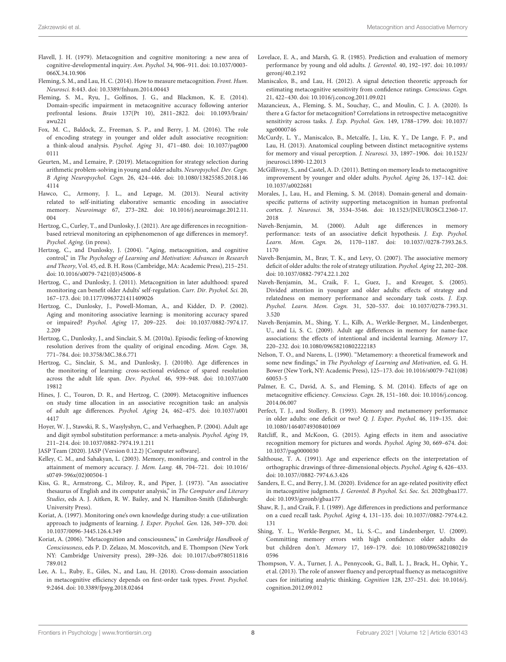- <span id="page-7-0"></span>Flavell, J. H. (1979). Metacognition and cognitive monitoring: a new area of cognitive-developmental inquiry. Am. Psychol. 34, 906–911. [doi: 10.1037/0003-](https://doi.org/10.1037/0003-066X.34.10.906) [066X.34.10.906](https://doi.org/10.1037/0003-066X.34.10.906)
- <span id="page-7-28"></span>Fleming, S. M., and Lau, H. C. (2014). How to measure metacognition. Front. Hum. Neurosci. 8:443. [doi: 10.3389/fnhum.2014.00443](https://doi.org/10.3389/fnhum.2014.00443)
- <span id="page-7-7"></span>Fleming, S. M., Ryu, J., Golfinos, J. G., and Blackmon, K. E. (2014). Domain-specific impairment in metacognitive accuracy following anterior prefrontal lesions. Brain 137(Pt 10), 2811–2822. [doi: 10.1093/brain/](https://doi.org/10.1093/brain/awu221) [awu221](https://doi.org/10.1093/brain/awu221)
- <span id="page-7-12"></span>Fox, M. C., Baldock, Z., Freeman, S. P., and Berry, J. M. (2016). The role of encoding strategy in younger and older adult associative recognition: a think-aloud analysis. Psychol. Aging 31, 471–480. [doi: 10.1037/pag000](https://doi.org/10.1037/pag0000111) [0111](https://doi.org/10.1037/pag0000111)
- <span id="page-7-35"></span>Geurten, M., and Lemaire, P. (2019). Metacognition for strategy selection during arithmetic problem-solving in young and older adults. Neuropsychol. Dev. Cogn. B Aging Neuropsychol. Cogn. 26, 424–446. [doi: 10.1080/13825585.2018.146](https://doi.org/10.1080/13825585.2018.1464114) [4114](https://doi.org/10.1080/13825585.2018.1464114)
- <span id="page-7-32"></span>Hawco, C., Armony, J. L., and Lepage, M. (2013). Neural activity related to self-initiating elaborative semantic encoding in associative memory. Neuroimage 67, 273–282. [doi: 10.1016/j.neuroimage.2012.11.](https://doi.org/10.1016/j.neuroimage.2012.11.004) [004](https://doi.org/10.1016/j.neuroimage.2012.11.004)
- <span id="page-7-3"></span>Hertzog, C., Curley, T., and Dunlosky, J. (2021). Are age differences in recognitionbased retrieval monitoring an epiphenomenon of age differences in memory?. Psychol. Aging. (in press).
- <span id="page-7-31"></span>Hertzog, C., and Dunlosky, J. (2004). "Aging, metacognition, and cognitive control," in The Psychology of Learning and Motivation: Advances in Research and Theory, Vol. 45, ed. B. H. Ross (Cambridge, MA: Academic Press), 215–251. [doi: 10.1016/s0079-7421\(03\)45006-8](https://doi.org/10.1016/s0079-7421(03)45006-8)
- <span id="page-7-36"></span>Hertzog, C., and Dunlosky, J. (2011). Metacognition in later adulthood: spared monitoring can benefit older Adults' self-regulation. Curr. Dir. Psychol. Sci. 20, 167–173. [doi: 10.1177/0963721411409026](https://doi.org/10.1177/0963721411409026)
- <span id="page-7-2"></span>Hertzog, C., Dunlosky, J., Powell-Moman, A., and Kidder, D. P. (2002). Aging and monitoring associative learning: is monitoring accuracy spared or impaired? Psychol. Aging 17, 209–225. [doi: 10.1037/0882-7974.17.](https://doi.org/10.1037/0882-7974.17.2.209) [2.209](https://doi.org/10.1037/0882-7974.17.2.209)
- <span id="page-7-15"></span>Hertzog, C., Dunlosky, J., and Sinclair, S. M. (2010a). Episodic feeling-of-knowing resolution derives from the quality of original encoding. Mem. Cogn. 38, 771–784. [doi: 10.3758/MC.38.6.771](https://doi.org/10.3758/MC.38.6.771)
- <span id="page-7-19"></span>Hertzog, C., Sinclair, S. M., and Dunlosky, J. (2010b). Age differences in the monitoring of learning: cross-sectional evidence of spared resolution across the adult life span. Dev. Psychol. 46, 939–948. [doi: 10.1037/a00](https://doi.org/10.1037/a0019812) [19812](https://doi.org/10.1037/a0019812)
- <span id="page-7-5"></span>Hines, J. C., Touron, D. R., and Hertzog, C. (2009). Metacognitive influences on study time allocation in an associative recognition task: an analysis of adult age differences. Psychol. Aging 24, 462–475. [doi: 10.1037/a001](https://doi.org/10.1037/a0014417) [4417](https://doi.org/10.1037/a0014417)
- <span id="page-7-27"></span>Hoyer, W. J., Stawski, R. S., Wasylyshyn, C., and Verhaeghen, P. (2004). Adult age and digit symbol substitution performance: a meta-analysis. Psychol. Aging 19, 211–214. [doi: 10.1037/0882-7974.19.1.211](https://doi.org/10.1037/0882-7974.19.1.211)
- <span id="page-7-29"></span>JASP Team (2020). JASP (Version 0.12.2) [Computer software].
- <span id="page-7-6"></span>Kelley, C. M., and Sahakyan, L. (2003). Memory, monitoring, and control in the attainment of memory accuracy. J. Mem. Lang. 48, 704–721. [doi: 10.1016/](https://doi.org/10.1016/s0749-596x(02)00504-1) [s0749-596x\(02\)00504-1](https://doi.org/10.1016/s0749-596x(02)00504-1)
- <span id="page-7-24"></span>Kiss, G. R., Armstrong, C., Milroy, R., and Piper, J. (1973). "An associative thesaurus of English and its computer analysis," in The Computer and Literary Studies, eds A. J. Aitken, R. W. Bailey, and N. Hamilton-Smith (Edinburgh: University Press).
- <span id="page-7-18"></span>Koriat, A. (1997). Monitoring one's own knowledge during study: a cue-utilization approach to judgments of learning. J. Exper. Psychol. Gen. 126, 349–370. [doi:](https://doi.org/10.1037/0096-3445.126.4.349) [10.1037/0096-3445.126.4.349](https://doi.org/10.1037/0096-3445.126.4.349)
- <span id="page-7-37"></span>Koriat, A. (2006). "Metacognition and consciousness," in Cambridge Handbook of Consciousness, eds P. D. Zelazo, M. Moscovitch, and E. Thompson (New York NY: Cambridge University press), 289–326. [doi: 10.1017/cbo9780511816](https://doi.org/10.1017/cbo9780511816789.012) [789.012](https://doi.org/10.1017/cbo9780511816789.012)
- <span id="page-7-23"></span>Lee, A. L., Ruby, E., Giles, N., and Lau, H. (2018). Cross-domain association in metacognitive efficiency depends on first-order task types. Front. Psychol. 9:2464. [doi: 10.3389/fpsyg.2018.02464](https://doi.org/10.3389/fpsyg.2018.02464)
- <span id="page-7-33"></span>Lovelace, E. A., and Marsh, G. R. (1985). Prediction and evaluation of memory performance by young and old adults. J. Gerontol. 40, 192–197. [doi: 10.1093/](https://doi.org/10.1093/geronj/40.2.192) [geronj/40.2.192](https://doi.org/10.1093/geronj/40.2.192)
- <span id="page-7-21"></span>Maniscalco, B., and Lau, H. (2012). A signal detection theoretic approach for estimating metacognitive sensitivity from confidence ratings. Conscious. Cogn. 21, 422–430. [doi: 10.1016/j.concog.2011.09.021](https://doi.org/10.1016/j.concog.2011.09.021)
- <span id="page-7-10"></span>Mazancieux, A., Fleming, S. M., Souchay, C., and Moulin, C. J. A. (2020). Is there a G factor for metacognition? Correlations in retrospective metacognitive sensitivity across tasks. J. Exp. Psychol. Gen. 149, 1788–1799. [doi: 10.1037/](https://doi.org/10.1037/xge0000746) [xge0000746](https://doi.org/10.1037/xge0000746)
- <span id="page-7-22"></span>McCurdy, L. Y., Maniscalco, B., Metcalfe, J., Liu, K. Y., De Lange, F. P., and Lau, H. (2013). Anatomical coupling between distinct metacognitive systems for memory and visual perception. J. Neurosci. 33, 1897–1906. [doi: 10.1523/](https://doi.org/10.1523/jneurosci.1890-12.2013) [jneurosci.1890-12.2013](https://doi.org/10.1523/jneurosci.1890-12.2013)
- <span id="page-7-14"></span>McGillivray, S., and Castel, A. D. (2011). Betting on memory leads to metacognitive improvement by younger and older adults. Psychol. Aging 26, 137–142. [doi:](https://doi.org/10.1037/a0022681) [10.1037/a0022681](https://doi.org/10.1037/a0022681)
- <span id="page-7-8"></span>Morales, J., Lau, H., and Fleming, S. M. (2018). Domain-general and domainspecific patterns of activity supporting metacognition in human prefrontal cortex. J. Neurosci. 38, 3534–3546. [doi: 10.1523/JNEUROSCI.2360-17.](https://doi.org/10.1523/JNEUROSCI.2360-17.2018) [2018](https://doi.org/10.1523/JNEUROSCI.2360-17.2018)
- <span id="page-7-13"></span>Naveh-Benjamin, M. (2000). Adult age differences in memory performance: tests of an associative deficit hypothesis. J. Exp. Psychol. Learn. Mem. Cogn. 26, 1170–1187. [doi: 10.1037//0278-7393.26.5.](https://doi.org/10.1037//0278-7393.26.5.1170) [1170](https://doi.org/10.1037//0278-7393.26.5.1170)
- <span id="page-7-17"></span>Naveh-Benjamin, M., Brav, T. K., and Levy, O. (2007). The associative memory deficit of older adults: the role of strategy utilization. Psychol. Aging 22, 202–208. [doi: 10.1037/0882-7974.22.1.202](https://doi.org/10.1037/0882-7974.22.1.202)
- <span id="page-7-16"></span>Naveh-Benjamin, M., Craik, F. I., Guez, J., and Kreuger, S. (2005). Divided attention in younger and older adults: effects of strategy and relatedness on memory performance and secondary task costs. J. Exp. Psychol. Learn. Mem. Cogn. 31, 520–537. [doi: 10.1037/0278-7393.31.](https://doi.org/10.1037/0278-7393.31.3.520) [3.520](https://doi.org/10.1037/0278-7393.31.3.520)
- <span id="page-7-11"></span>Naveh-Benjamin, M., Shing, Y. L., Kilb, A., Werkle-Bergner, M., Lindenberger, U., and Li, S. C. (2009). Adult age differences in memory for name-face associations: the effects of intentional and incidental learning. Memory 17, 220–232. [doi: 10.1080/09658210802222183](https://doi.org/10.1080/09658210802222183)
- <span id="page-7-1"></span>Nelson, T. O., and Narens, L. (1990). "Metamemory: a theoretical framework and some new findings," in The Psychology of Learning and Motivation, ed. G. H. Bower (New York, NY: Academic Press), 125–173. [doi: 10.1016/s0079-7421\(08\)](https://doi.org/10.1016/s0079-7421(08)60053-5) [60053-5](https://doi.org/10.1016/s0079-7421(08)60053-5)
- <span id="page-7-9"></span>Palmer, E. C., David, A. S., and Fleming, S. M. (2014). Effects of age on metacognitive efficiency. Conscious. Cogn. 28, 151–160. [doi: 10.1016/j.concog.](https://doi.org/10.1016/j.concog.2014.06.007) [2014.06.007](https://doi.org/10.1016/j.concog.2014.06.007)
- <span id="page-7-34"></span>Perfect, T. J., and Stollery, B. (1993). Memory and metamemory performance in older adults: one deficit or two? Q. J. Exper. Psychol. 46, 119–135. [doi:](https://doi.org/10.1080/14640749308401069) [10.1080/14640749308401069](https://doi.org/10.1080/14640749308401069)
- <span id="page-7-25"></span>Ratcliff, R., and McKoon, G. (2015). Aging effects in item and associative recognition memory for pictures and words. Psychol. Aging 30, 669–674. [doi:](https://doi.org/10.1037/pag0000030) [10.1037/pag0000030](https://doi.org/10.1037/pag0000030)
- <span id="page-7-26"></span>Salthouse, T. A. (1991). Age and experience effects on the interpretation of orthographic drawings of three-dimensional objects. Psychol. Aging 6, 426–433. [doi: 10.1037//0882-7974.6.3.426](https://doi.org/10.1037//0882-7974.6.3.426)
- <span id="page-7-4"></span>Sanders, E. C., and Berry, J. M. (2020). Evidence for an age-related positivity effect in metacognitive judgments. J. Gerontol. B Psychol. Sci. Soc. Sci. 2020:gbaa177. [doi: 10.1093/geronb/gbaa177](https://doi.org/10.1093/geronb/gbaa177)
- <span id="page-7-30"></span>Shaw, R. J., and Craik, F. I. (1989). Age differences in predictions and performance on a cued recall task. Psychol. Aging 4, 131–135. [doi: 10.1037//0882-7974.4.2.](https://doi.org/10.1037//0882-7974.4.2.131) [131](https://doi.org/10.1037//0882-7974.4.2.131)
- <span id="page-7-20"></span>Shing, Y. L., Werkle-Bergner, M., Li, S.-C., and Lindenberger, U. (2009). Committing memory errors with high confidence: older adults do but children don't. Memory 17, 169–179. [doi: 10.1080/0965821080219](https://doi.org/10.1080/09658210802190596) [0596](https://doi.org/10.1080/09658210802190596)
- <span id="page-7-38"></span>Thompson, V. A., Turner, J. A., Pennycook, G., Ball, L. J., Brack, H., Ophir, Y., et al. (2013). The role of answer fluency and perceptual fluency as metacognitive cues for initiating analytic thinking. Cognition 128, 237–251. [doi: 10.1016/j.](https://doi.org/10.1016/j.cognition.2012.09.012) [cognition.2012.09.012](https://doi.org/10.1016/j.cognition.2012.09.012)